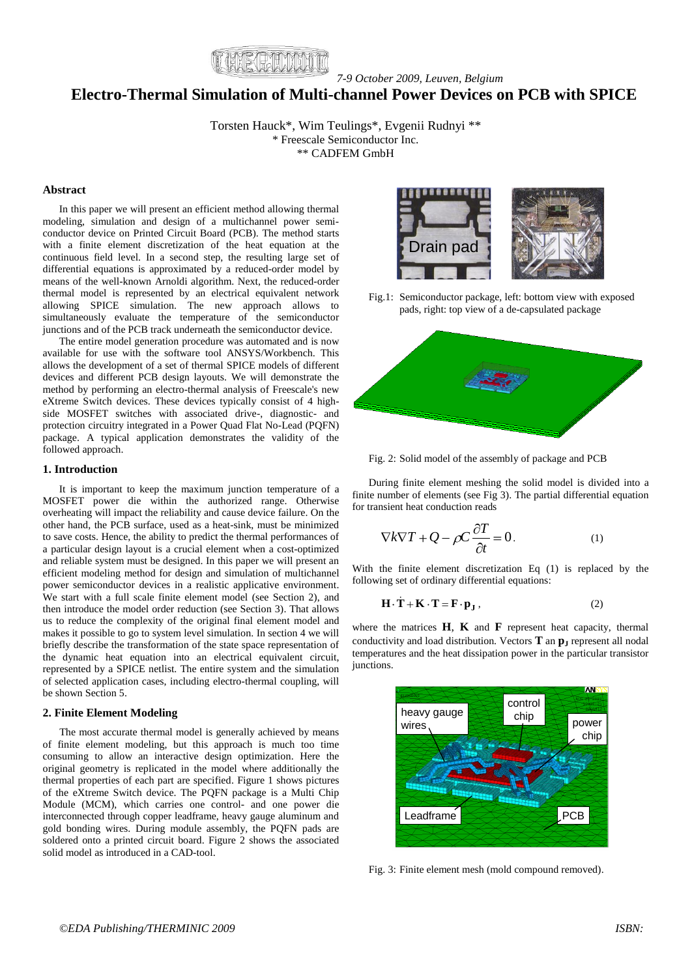

*7-9 October 2009, Leuven, Belgium*

# **Electro-Thermal Simulation of Multi-channel Power Devices on PCB with SPICE**

Torsten Hauck\*, Wim Teulings\*, Evgenii Rudnyi \*\* \* Freescale Semiconductor Inc. \*\* CADFEM GmbH

# **Abstract**

In this paper we will present an efficient method allowing thermal modeling, simulation and design of a multichannel power semiconductor device on Printed Circuit Board (PCB). The method starts with a finite element discretization of the heat equation at the continuous field level. In a second step, the resulting large set of differential equations is approximated by a reduced-order model by means of the well-known Arnoldi algorithm. Next, the reduced-order thermal model is represented by an electrical equivalent network allowing SPICE simulation. The new approach allows to simultaneously evaluate the temperature of the semiconductor junctions and of the PCB track underneath the semiconductor device.

The entire model generation procedure was automated and is now available for use with the software tool ANSYS/Workbench. This allows the development of a set of thermal SPICE models of different devices and different PCB design layouts. We will demonstrate the method by performing an electro-thermal analysis of Freescale's new eXtreme Switch devices. These devices typically consist of 4 highside MOSFET switches with associated drive-, diagnostic- and protection circuitry integrated in a Power Quad Flat No-Lead (PQFN) package. A typical application demonstrates the validity of the followed approach.

#### **1. Introduction**

It is important to keep the maximum junction temperature of a MOSFET power die within the authorized range. Otherwise overheating will impact the reliability and cause device failure. On the other hand, the PCB surface, used as a heat-sink, must be minimized to save costs. Hence, the ability to predict the thermal performances of a particular design layout is a crucial element when a cost-optimized and reliable system must be designed. In this paper we will present an efficient modeling method for design and simulation of multichannel power semiconductor devices in a realistic applicative environment. We start with a full scale finite element model (see Section 2), and then introduce the model order reduction (see Section 3). That allows us to reduce the complexity of the original final element model and makes it possible to go to system level simulation. In section 4 we will briefly describe the transformation of the state space representation of the dynamic heat equation into an electrical equivalent circuit, represented by a SPICE netlist. The entire system and the simulation of selected application cases, including electro-thermal coupling, will be shown Section 5.

## **2. Finite Element Modeling**

The most accurate thermal model is generally achieved by means of finite element modeling, but this approach is much too time consuming to allow an interactive design optimization. Here the original geometry is replicated in the model where additionally the thermal properties of each part are specified. Figure 1 shows pictures of the eXtreme Switch device. The PQFN package is a Multi Chip Module (MCM), which carries one control- and one power die interconnected through copper leadframe, heavy gauge aluminum and gold bonding wires. During module assembly, the PQFN pads are soldered onto a printed circuit board. Figure 2 shows the associated solid model as introduced in a CAD-tool.



Fig.1: Semiconductor package, left: bottom view with exposed pads, right: top view of a de-capsulated package



Fig. 2: Solid model of the assembly of package and PCB

During finite element meshing the solid model is divided into a finite number of elements (see Fig 3). The partial differential equation for transient heat conduction reads

$$
\nabla k \nabla T + Q - \rho C \frac{\partial T}{\partial t} = 0.
$$
 (1)

With the finite element discretization Eq (1) is replaced by the following set of ordinary differential equations:

$$
\mathbf{H} \cdot \dot{\mathbf{T}} + \mathbf{K} \cdot \mathbf{T} = \mathbf{F} \cdot \mathbf{p}_{\mathbf{J}} , \qquad (2)
$$

where the matrices **H**, **K** and **F** represent heat capacity, thermal conductivity and load distribution. Vectors **T** an **p<sup>J</sup>** represent all nodal temperatures and the heat dissipation power in the particular transistor junctions.



Fig. 3: Finite element mesh (mold compound removed).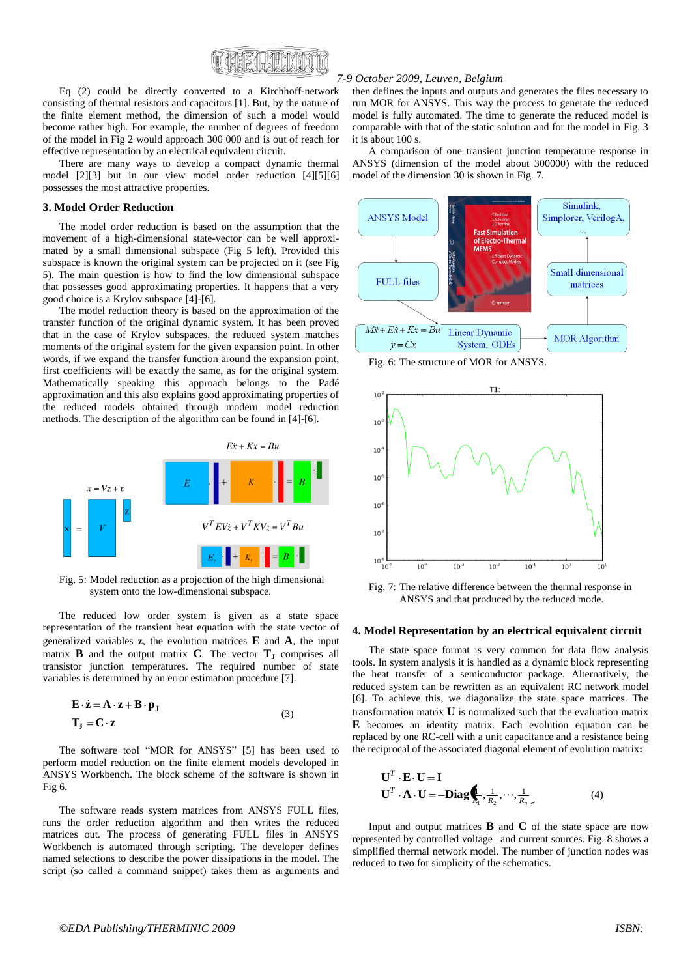

Eq (2) could be directly converted to a Kirchhoff-network consisting of thermal resistors and capacitors [1]. But, by the nature of the finite element method, the dimension of such a model would become rather high. For example, the number of degrees of freedom of the model in Fig 2 would approach 300 000 and is out of reach for effective representation by an electrical equivalent circuit.

There are many ways to develop a compact dynamic thermal model [2][3] but in our view model order reduction [4][5][6] possesses the most attractive properties.

#### **3. Model Order Reduction**

The model order reduction is based on the assumption that the movement of a high-dimensional state-vector can be well approximated by a small dimensional subspace (Fig 5 left). Provided this subspace is known the original system can be projected on it (see Fig 5). The main question is how to find the low dimensional subspace that possesses good approximating properties. It happens that a very good choice is a Krylov subspace [4]-[6].

The model reduction theory is based on the approximation of the transfer function of the original dynamic system. It has been proved that in the case of Krylov subspaces, the reduced system matches moments of the original system for the given expansion point. In other words, if we expand the transfer function around the expansion point, first coefficients will be exactly the same, as for the original system. Mathematically speaking this approach belongs to the Padé approximation and this also explains good approximating properties of the reduced models obtained through modern model reduction methods. The description of the algorithm can be found in [4]-[6].



Fig. 5: Model reduction as a projection of the high dimensional system onto the low-dimensional subspace.

The reduced low order system is given as a state space representation of the transient heat equation with the state vector of generalized variables **z**, the evolution matrices **E** and **A**, the input matrix **B** and the output matrix **C**. The vector  $T_J$  comprises all transistor junction temperatures. The required number of state variables is determined by an error estimation procedure [7].

$$
\mathbf{E} \cdot \dot{\mathbf{z}} = \mathbf{A} \cdot \mathbf{z} + \mathbf{B} \cdot \mathbf{p}_{\mathbf{J}}
$$
  

$$
\mathbf{T}_{\mathbf{J}} = \mathbf{C} \cdot \mathbf{z}
$$
 (3)

The software tool "MOR for ANSYS" [5] has been used to perform model reduction on the finite element models developed in ANSYS Workbench. The block scheme of the software is shown in Fig 6.

The software reads system matrices from ANSYS FULL files, runs the order reduction algorithm and then writes the reduced matrices out. The process of generating FULL files in ANSYS Workbench is automated through scripting. The developer defines named selections to describe the power dissipations in the model. The script (so called a command snippet) takes them as arguments and

#### *7-9 October 2009, Leuven, Belgium*

then defines the inputs and outputs and generates the files necessary to run MOR for ANSYS. This way the process to generate the reduced model is fully automated. The time to generate the reduced model is comparable with that of the static solution and for the model in Fig. 3 it is about 100 s.

A comparison of one transient junction temperature response in ANSYS (dimension of the model about 300000) with the reduced model of the dimension 30 is shown in Fig. 7.



Fig. 6: The structure of MOR for ANSYS.



Fig. 7: The relative difference between the thermal response in ANSYS and that produced by the reduced mode.

#### **4. Model Representation by an electrical equivalent circuit**

The state space format is very common for data flow analysis tools. In system analysis it is handled as a dynamic block representing the heat transfer of a semiconductor package. Alternatively, the reduced system can be rewritten as an equivalent RC network model [6]. To achieve this, we diagonalize the state space matrices. The transformation matrix **U** is normalized such that the evaluation matrix **E** becomes an identity matrix. Each evolution equation can be replaced by one RC-cell with a unit capacitance and a resistance being the reciprocal of the associated diagonal element of evolution matrix**:**

$$
\mathbf{U}^T \cdot \mathbf{E} \cdot \mathbf{U} = \mathbf{I}
$$
  

$$
\mathbf{U}^T \cdot \mathbf{A} \cdot \mathbf{U} = -\mathbf{Diag} \oint_{\mathbf{I}_1} \frac{1}{R_2} \cdots \frac{1}{R_n} \tag{4}
$$

Input and output matrices  $\bf{B}$  and  $\bf{C}$  of the state space are now represented by controlled voltage\_ and current sources. Fig. 8 shows a simplified thermal network model. The number of junction nodes was reduced to two for simplicity of the schematics.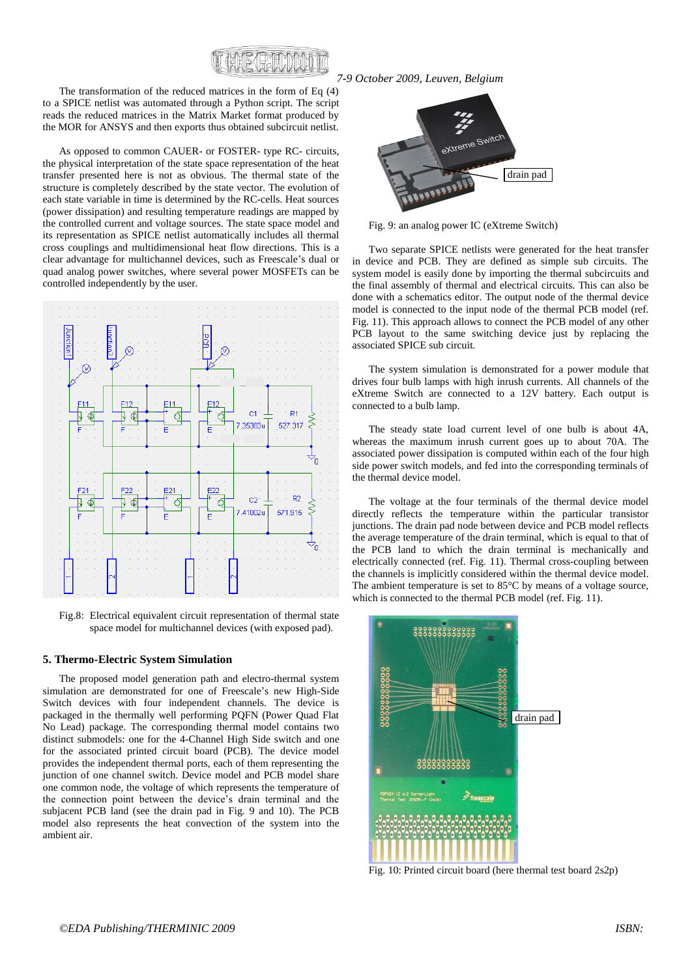

The transformation of the reduced matrices in the form of Eq (4) to a SPICE netlist was automated through a Python script. The script reads the reduced matrices in the Matrix Market format produced by the MOR for ANSYS and then exports thus obtained subcircuit netlist.

As opposed to common CAUER- or FOSTER- type RC- circuits, the physical interpretation of the state space representation of the heat transfer presented here is not as obvious. The thermal state of the structure is completely described by the state vector. The evolution of each state variable in time is determined by the RC-cells. Heat sources (power dissipation) and resulting temperature readings are mapped by the controlled current and voltage sources. The state space model and its representation as SPICE netlist automatically includes all thermal cross couplings and multidimensional heat flow directions. This is a clear advantage for multichannel devices, such as Freescale's dual or quad analog power switches, where several power MOSFETs can be controlled independently by the user.



Fig.8: Electrical equivalent circuit representation of thermal state space model for multichannel devices (with exposed pad).

#### **5. Thermo-Electric System Simulation**

The proposed model generation path and electro-thermal system simulation are demonstrated for one of Freescale's new High-Side Switch devices with four independent channels. The device is packaged in the thermally well performing PQFN (Power Quad Flat No Lead) package. The corresponding thermal model contains two distinct submodels: one for the 4-Channel High Side switch and one for the associated printed circuit board (PCB). The device model provides the independent thermal ports, each of them representing the junction of one channel switch. Device model and PCB model share one common node, the voltage of which represents the temperature of the connection point between the device's drain terminal and the subjacent PCB land (see the drain pad in Fig. 9 and 10). The PCB model also represents the heat convection of the system into the ambient air.



Fig. 9: an analog power IC (eXtreme Switch)

Two separate SPICE netlists were generated for the heat transfer in device and PCB. They are defined as simple sub circuits. The system model is easily done by importing the thermal subcircuits and the final assembly of thermal and electrical circuits. This can also be done with a schematics editor. The output node of the thermal device model is connected to the input node of the thermal PCB model (ref. Fig. 11). This approach allows to connect the PCB model of any other PCB layout to the same switching device just by replacing the associated SPICE sub circuit.

The system simulation is demonstrated for a power module that drives four bulb lamps with high inrush currents. All channels of the eXtreme Switch are connected to a 12V battery. Each output is connected to a bulb lamp.

The steady state load current level of one bulb is about 4A, whereas the maximum inrush current goes up to about 70A. The associated power dissipation is computed within each of the four high side power switch models, and fed into the corresponding terminals of the thermal device model.

The voltage at the four terminals of the thermal device model directly reflects the temperature within the particular transistor junctions. The drain pad node between device and PCB model reflects the average temperature of the drain terminal, which is equal to that of the PCB land to which the drain terminal is mechanically and electrically connected (ref. Fig. 11). Thermal cross-coupling between the channels is implicitly considered within the thermal device model. The ambient temperature is set to 85°C by means of a voltage source, which is connected to the thermal PCB model (ref. Fig. 11).



Fig. 10: Printed circuit board (here thermal test board 2s2p)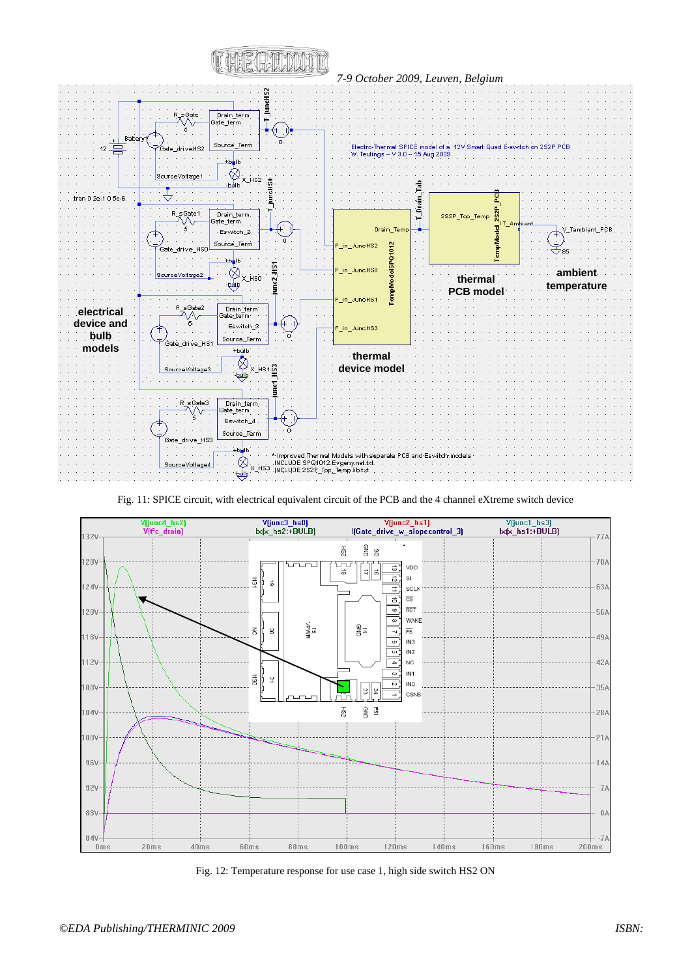

Fig. 11: SPICE circuit, with electrical equivalent circuit of the PCB and the 4 channel eXtreme switch device



Fig. 12: Temperature response for use case 1, high side switch HS2 ON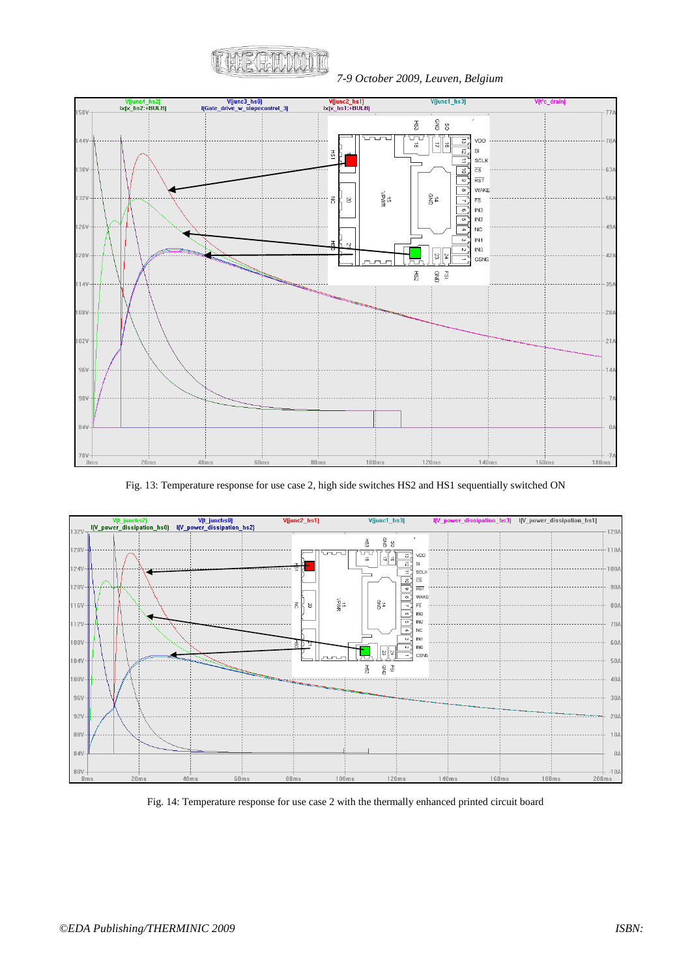

*7-9 October 2009, Leuven, Belgium*



Fig. 13: Temperature response for use case 2, high side switches HS2 and HS1 sequentially switched ON



Fig. 14: Temperature response for use case 2 with the thermally enhanced printed circuit board